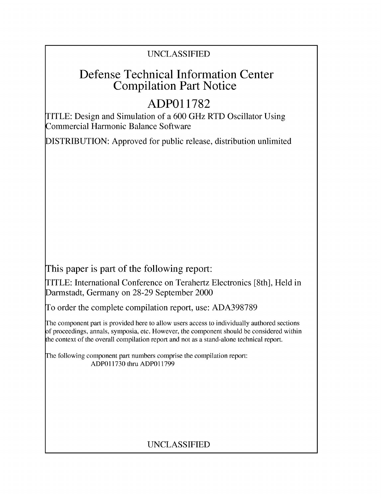### UNCLASSIFIED

## Defense Technical Information Center Compilation Part Notice

# **ADPO1 1782**

TITLE: Design and Simulation of a 600 GHz RTD Oscillator Using Commercial Harmonic Balance Software

DISTRIBUTION: Approved for public release, distribution unlimited

This paper is part of the following report:

TITLE: International Conference on Terahertz Electronics [8th], Held in Darmstadt, Germany on 28-29 September 2000

To order the complete compilation report, use: ADA398789

The component part is provided here to allow users access to individually authored sections f proceedings, annals, symposia, etc. However, the component should be considered within [he context of the overall compilation report and not as a stand-alone technical report.

The following component part numbers comprise the compilation report: ADPO11730 thru ADP011799

### UNCLASSIFIED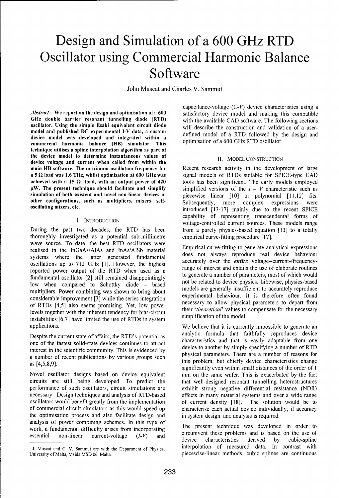# Design and Simulation of a **600** GHz RTD Oscillator using Commercial Harmonic Balance Software

John Muscat and Charles V. Sammut

GHz double barrier resonant tunnelling diode (RTD) with the available CAD software. The following sections oscillator. Using the simple Esaki equivalent circuit diode will describe the construction and validation of a usermodel and published DC experimental I-V data, a custom defined model of a RTD followed by the design and device model was developed and integrated within a commercial harmonic balance (HB) simulator. This optimisation of a 600 GHz RTD oscillator. technique utilises a spline interpolation algorithm as part of the device model to determine instantaneous values of II. MODEL CONSTRUCTION device voltage and current when called from within the main HB software. The maximum oscillation frequency for Recent research activity in the development of large a 5 **Q** load was **1.6** THz, whilst optimisation at **600** GHz was signal models of RTDs suitable for SPICE-type CAD achieved with a 15  $\Omega$  load, with an output power of 420 tools has been significant. The early models employed  $\mu$ W. The present technique should facilitate and simplify simplified versions of the  $I - V$  characteristic such as simulation of both existent and novel non-linear devices in piecewise linear [10] or polynomial [11,12] fits. other configurations, such as multipliers, mixers, self-<br>Subsequently, more complex expressions were

During the past two decades, the RTD has been from a purely physics-based equation [13] to a totally thoroughly investigated as a potential sub-millimetre empirical curve-fitting procedure [17]. wave source. To date, the best RTD oscillators were<br>realised in the InGaAs/AlAs and InAs/AlSb material<br>systems where the latter generated fundamental<br>oscillations up to 712 GHz [1]. However, the highest<br>reported power outp fundamental oscillator  $[2]$  still remained disappointingly to generate a number of parameters, most of which would low hencompredto choice physics. Likewise, physics-based not be related to device physics. Likewise, phys low when compared to Schottky diode - based models are generally insufficient to accurately reproduce<br>multipliers. Power combining was shown to bring about<br>considerable improvement [3] while the series integration experimental behaviour. It is therefore often found of RTDs  $[4,5]$  also seems promising. Yet, low power necessary to allow physical parameters to depart from the interval parameters to depart from their theoretical' values to compensate for the necessary to allow physical levels together with the inherent tendency for bias-circuit their *theoretical* values to contract installation of the model. instabilities  $[6,7]$  have limited the use of RTDs in system applications. We believe that it is currently impossible to generate an

bespite the carrent state of arians, the KTD s potential as  $\frac{1}{2}$  characteristics and that is easily adaptable from one interest in the scientific community. This is evidenced by device to another **by** simply specifying a number of RTD a number of recent publications by various groups such physical parameters. There are a number of reasons for

Novel oscillator designs based on device equivalent mm on the same wafer. This is exacerbated by the fact circuits are still being developed. To predict the that well-designed resonant tunnelling heterostructures performance of such oscillators, circuit simulations are exhibit strong negative differential resistance (NDR) necessary. Design techniques and analysis of RTD-based effects in many material systems and over a wide range oscillators would benefit greatly from the implementation of current density [18]. The solution would be to of commercial circuit simulators as this would speed up characterise each actual device individually, if accuracy the optimisation process and also facilitate design and in system design and analysis is required. analysis of power combining schemes. In this type of<br>work a fundamental difficulty arises from incorporating. The present technique was developed in order to

capacitance-voltage  $(C-V)$  device characteristics using a Abstract – We report on the design and optimisation of a 600 satisfactory device model and making this compatible

oscillating mixers, etc. **introduced** [13-17] mainly due to the recent SPICE capability of representing transcendental forms of I. INTRODUCTION voltage-controlled current sources. These models range

Despite the current state of affairs, the RTD's potential as analytic formula that faithfully reproduces device a name of recent paracteristics by various groups such this problem, but chiefly device characteristics change significantly even within small distances of the order of **I** 

work, a fundamental difficulty arises from incorporating<br>essential non-linear current-voltage  $(I-V)$  and circumvent these problems and is based on the use of<br>device characteristics derived by cubic-spline **J.** Muscat and C. V. Sammut are with the Department of Physics. interpolation of measured data. In contrast with

University of Malta, Msida MSD 06, Malta. piecewise-linear methods, cubic splines are continuous piecewise-linear methods, cubic splines are continuous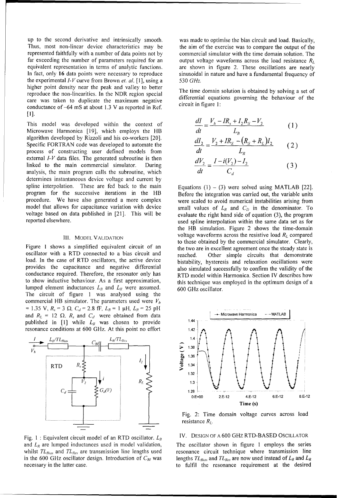up to the second derivative and intrinsically smooth. was made to optimise the bias circuit and load. Basically, Thus, most non-linear device characteristics may be the aim of the exercise was to compare the output of the represented faithfully with a number of data points not by commercial simulator with the time domain solution. The far exceeding the number of parameters required for an output voltage waveforms across the load resistance  $R_L$ equivalent representation in terms of analytic functions. are shown in figure 2. These oscillations are nearly In fact, only 16 data points were necessary to reproduce sinusoidal in nature and have a fundamental frequency of the experimental **I-V** curve from Brown *et. al.* [1], using a 530 *GHz.* higher point density near the peak and valley to better The time domain solution is obtained by solving a set of **The time** domain solution is obtained by solving a set of reproduce the non-linearities. In the NDR region special differential equations governing the behaviour of the care was taken to duplicate the maximum negative **the conductance** of  $64 \text{ mS}$  at about 1.2 M as reported in Bef conductance of-64 mS at about 1.3 V as reported in Ref. [I].

This model was developed within the context of Microwave Harmonica [19], which employs the HB algorithm developed by Rizzoli and his co-workers [20]. Specific FORTRAN code was developed to automate the process of constructing user defined models from *dt dt L<sub>R</sub>* external *I-V* data files. The generated subroutine is then  $\alpha$ linked to the main commercial simulator. During analysis, the main program calls the subroutine, which determines instantaneous device voltage and current by spline interpolation. These are fed back to the main  $Equations (1) - (3)$  were solved using MATLAB [22]. program for the successive iterations in the HB Before the integration was carried out, the variable units procedure. We have also generated a more complex were scaled to avoid numerical instabilities arising from model that allows for capacitance variation with device small values of  $L_R$  and  $C_D$  in the denominator. To voltage based on data published in [21]. This will be evaluate the right hand side of equation (3), the program

oscillator with a RTD connected to a bias circuit and reached. Other simple circuits that demonstrate load. In the case of RTD oscillators, the active device bistability, hysteresis and relaxation oscillations were provides the capacitance and negative differential also simulated successfully to confirm the validity of the conductance required. Therefore, the resonator only has RTD model within Harmonica. Section IV describes how to show inductive behaviour. As a first approximation, this technique was employed in the optimum design of a lumped element inductances  $L_B$  and  $L_R$  were assumed. 600 GHz oscillator. The circuit of figure 1 was analysed using the commercial HB simulator. The parameters used were *Vh*  $= 1.35$  V,  $R_s = 3 \Omega$ ,  $C_d = 2.8$  fF,  $L_B = 1 \mu H$ ,  $L_R = 25 \mu H$ and  $R_L = 12 \Omega$ .  $R_s$  and  $C_d$  were obtained from data  $\longrightarrow$  Microwave Harmonica -- MATLAB published in [1] while  $L_R$  was chosen to provide  $1.44$ resonance conditions at 600 GHz. At this point no effort 1.42



and  $L_R$  are lumped inductances used in model validation, The oscillator shown in figure 1 employs the series whilst *TL<sub>Btus</sub>* and *TL<sub>Res</sub>* are transmission line lengths used resonance circuit technique where transmission line in the 600 GHz oscillator design. Introduction of  $C_{BI}$  was lengths  $TL_{Bias}$  and  $TL_{Res}$  are now used instead of  $L_B$  and  $L_R$ necessary in the latter case. The resonance requirement at the desired

$$
\frac{dI}{dt} = \frac{V_b - IR_s + I_2 R_S - V_2}{L_p} \tag{1}
$$

$$
\frac{dI_2}{dt} = \frac{V_2 + IR_S - (R_S + R_L)I_2}{I_{cs}}
$$
 (2)

$$
\frac{dV_2}{dt} = \frac{I - i(V_2) - I_2}{C_d} \tag{3}
$$

reported elsewhere. The same data set as for the same data set as for the same data set as for the HB simulation. Figure 2 shows the time-domain III. MODEL VALIDATION voltage waveforms across the resistive load  $R_L$  compared to those obtained by the commercial simulator. Clearly, Figure 1 shows a simplified equivalent circuit of an the two are in excellent agreement once the steady state is



Fig. 2: Time domain voltage curves across load resistance  $R_L$ .

### Fig. 1: Equivalent circuit model of an RTD oscillator.  $L_B$  IV. DESIGN OF A 600 GHz RTD-BASED OSCILLATOR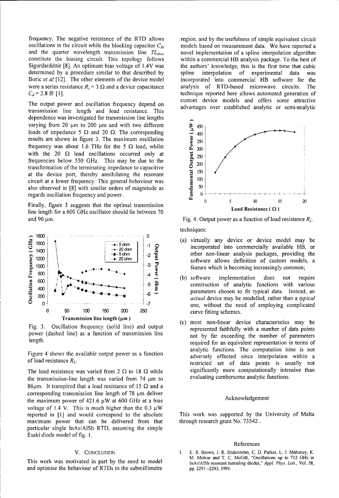frequency. The negative resistance of the RTD allows region, and by the usefulness of simple equivalent circuit oscillations in the circuit while the blocking capacitor  $C_{Bl}$  models based on measurement data. We have reported a and the quarter wavelength transmission line *TL<sub>Bias</sub>* novel implementation of a spline interpolation algorithm constitute the biasing circuit. This topology follows within a commercial HB analysis package. To the best of Sigurdardóttir [8]. An optimum bias voltage of 1.4V was the authors' knowledge, this is the first time that cubic determined by a procedure similar to that described by spline interpolation of experimental data was Boric *et al* [12]. The other elements of the device model incorporated into commercial HB software for the were a series resistance  $R<sub>v</sub> = 3 \Omega$  and a device capacitance analysis of RTD-based microwave circuits. The *C<sub>d</sub>* = 2.8 **fF** [1]. technique reported here allows automated generation of

transmission line length and load resistance. This dependence was investigated for transmission line lengths varying from 20  $\mu$ m to 200  $\mu$ m and with two different<br>
loads of impedance 5  $\Omega$  and 20  $\Omega$ . The corresponding<br>
results are shown in figure 3. The maximum oscillation<br>
frequency was about 1.6 THz for the 5  $\Omega$  load, loads of impedance 5  $\Omega$  and 20  $\Omega$ . The corresponding  $\frac{1}{\epsilon}$  <sub>400</sub> results are shown in figure 3. The maximum oscillation  $\frac{5}{2}$  350 frequency was about 1.6 THz for the 5  $\Omega$  load, whilst with the 20  $\Omega$  load oscillations occurred only at frequencies below 550 GHz. This may be due to the transformation of the terminating impedance to capacitive **0** at the device port, thereby annihilating the resonant aircuit at a lower frequency. This cancrel behaviour wes circuit at a lower frequency. This general behaviour was also observed in [8] with similar orders of magnitude as regards oscillation frequency and power. **0**

Finally, figure 3 suggests that the optimal transmission line length for a 600 GHz oscillator should lie between 70 Load Resistance  $(\Omega)$ and 90  $\mu$ m. **Fig. 4: Output power as a function of load resistance** *R<sub>L</sub>***.** 



the transmission-line length was varied from  $74 \mu m$  to 86 $\mu$ m. It transpired that a load resistance of 15  $\Omega$  and a corresponding transmission line length of  $78 \mu m$  deliver the maximum power of 421.6  $\mu$ W at 600 GHz at a bias Acknowledgement voltage of 1.4 V. This is much higher than the 0.3  $\mu$ W reported in [1] and would correspond to the absolute This work was supported by the University of Malta maximum power that can be delivered from that through research grant No. 73542. particular single InAs/AlSb RTD, assuming the simple Esaki diode model of fig. **1.**

and optimise the behaviour of RTDs in the submillimetre  $pp. 2291 - 2293, 1991$ .

The output power and oscillation frequency depend on acustom device models and offers some attractive advantages over established analytic or semi-analytic



techniques:

- 20 ohm<br>  $\frac{1}{2}$   $\frac{2}{2}$   $\frac{1}{2}$  other non-linear analysis packages, providing the<br>
20 ohm  $\frac{1200}{1000}$   $\frac{1}{200}$   $\frac{5}{300}$  software allows definition of custom models, a
- $\begin{bmatrix} 4 & 7 \ 600 & 7 \end{bmatrix}$  **F**  $\begin{bmatrix} 4 & 7 \ 5 & 6 \end{bmatrix}$  (b) software implementation does not require construction of analytic functions with various 400  $\frac{400}{200}$   $\frac{1}{200}$   $\frac{1}{200}$   $\frac{1}{200}$   $\frac{1}{200}$   $\frac{1}{200}$   $\frac{1}{200}$   $\frac{1}{200}$   $\frac{1}{200}$   $\frac{1}{200}$   $\frac{1}{200}$   $\frac{1}{200}$   $\frac{1}{200}$   $\frac{1}{200}$   $\frac{1}{200}$   $\frac{1}{200}$   $\frac{1}{200}$   $\frac{1}{200}$   $\frac$ <sup>1</sup> *actual* device may be modelled, rather than a *typical* one, without the need of employing complicated one, without the need of employing complicated
- Fig. 3: Oscillation frequency (solid line) and output represented faithfully with a number of data points power (dashed line) as a function of transmission line not by far exceeding the number of parameters length. The extra contract representation in terms of the equivalent representation in terms of Figure 4 shows the available output power as a function analytic functions. The computation time is not adversely effected since interpolation within a of load resistance  $R_L$ . restricted set of data points is usually not The load resistance was varied from  $2 \Omega$  to  $18 \Omega$  while significantly more computationally intensive than the transmission-line length was varied from  $74 \mu m$  to evaluating cumbersome analytic functions.

### References

V. CONCLUSION 1. E. R. Brown, J. R. Söderström, C. D. Parker, L. J. Mahoney, K.<br>M. Molvar and T. C. McGill, "Oscillations up to 712 GHz in This work was motivated in part by the need to model InAs/AISb resonant tunneling diodes," *Appl. Phys. Lett.*, Vol. 58,